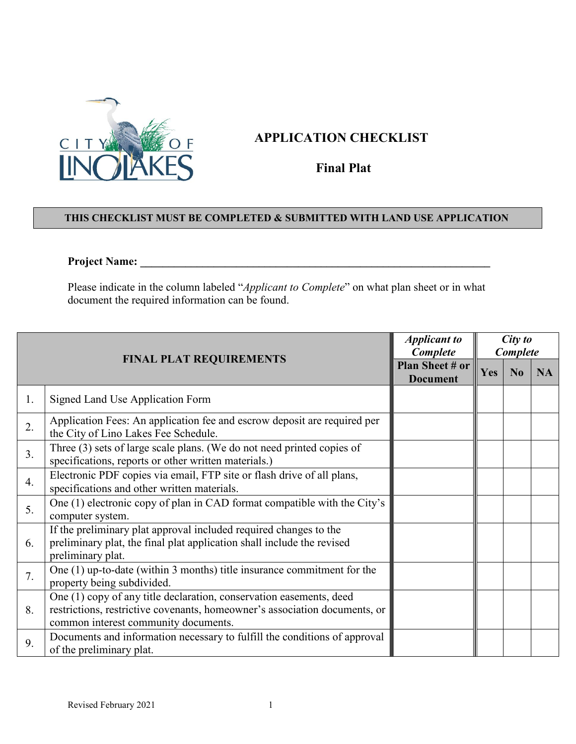

## **APPLICATION CHECKLIST**

**Final Plat**

## **THIS CHECKLIST MUST BE COMPLETED & SUBMITTED WITH LAND USE APPLICATION**

## **Project Name: \_\_\_\_\_\_\_\_\_\_\_\_\_\_\_\_\_\_\_\_\_\_\_\_\_\_\_\_\_\_\_\_\_\_\_\_\_\_\_\_\_\_\_\_\_\_\_\_\_\_\_\_\_\_\_\_\_\_\_\_\_\_**

Please indicate in the column labeled "*Applicant to Complete*" on what plan sheet or in what document the required information can be found.

| <b>FINAL PLAT REQUIREMENTS</b> |                                                                                                                                                                                           | <b>Applicant to</b><br>Complete    | City to<br>Complete |                |           |
|--------------------------------|-------------------------------------------------------------------------------------------------------------------------------------------------------------------------------------------|------------------------------------|---------------------|----------------|-----------|
|                                |                                                                                                                                                                                           | Plan Sheet # or<br><b>Document</b> | Yes                 | N <sub>0</sub> | <b>NA</b> |
| 1.                             | Signed Land Use Application Form                                                                                                                                                          |                                    |                     |                |           |
| 2.                             | Application Fees: An application fee and escrow deposit are required per<br>the City of Lino Lakes Fee Schedule.                                                                          |                                    |                     |                |           |
| 3.                             | Three (3) sets of large scale plans. (We do not need printed copies of<br>specifications, reports or other written materials.)                                                            |                                    |                     |                |           |
| 4.                             | Electronic PDF copies via email, FTP site or flash drive of all plans,<br>specifications and other written materials.                                                                     |                                    |                     |                |           |
| 5.                             | One (1) electronic copy of plan in CAD format compatible with the City's<br>computer system.                                                                                              |                                    |                     |                |           |
| 6.                             | If the preliminary plat approval included required changes to the<br>preliminary plat, the final plat application shall include the revised<br>preliminary plat.                          |                                    |                     |                |           |
| 7.                             | One $(1)$ up-to-date (within 3 months) title insurance commitment for the<br>property being subdivided.                                                                                   |                                    |                     |                |           |
| 8.                             | One (1) copy of any title declaration, conservation easements, deed<br>restrictions, restrictive covenants, homeowner's association documents, or<br>common interest community documents. |                                    |                     |                |           |
| 9.                             | Documents and information necessary to fulfill the conditions of approval<br>of the preliminary plat.                                                                                     |                                    |                     |                |           |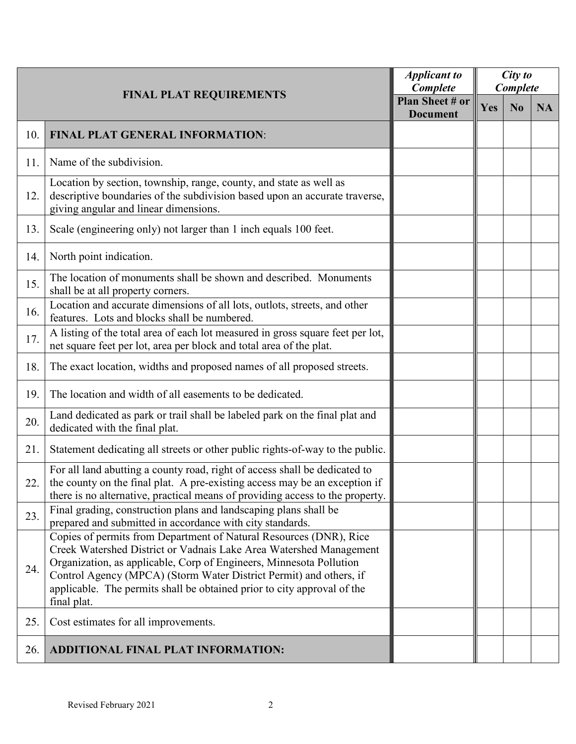| <b>FINAL PLAT REQUIREMENTS</b> |                                                                                                                                                                                                                                                                                                                                                                                 | <b>Applicant to</b><br>Complete    | City to<br>Complete |                |           |
|--------------------------------|---------------------------------------------------------------------------------------------------------------------------------------------------------------------------------------------------------------------------------------------------------------------------------------------------------------------------------------------------------------------------------|------------------------------------|---------------------|----------------|-----------|
|                                |                                                                                                                                                                                                                                                                                                                                                                                 | Plan Sheet # or<br><b>Document</b> | Yes                 | N <sub>0</sub> | <b>NA</b> |
| 10.                            | FINAL PLAT GENERAL INFORMATION:                                                                                                                                                                                                                                                                                                                                                 |                                    |                     |                |           |
| 11.                            | Name of the subdivision.                                                                                                                                                                                                                                                                                                                                                        |                                    |                     |                |           |
| 12.                            | Location by section, township, range, county, and state as well as<br>descriptive boundaries of the subdivision based upon an accurate traverse,<br>giving angular and linear dimensions.                                                                                                                                                                                       |                                    |                     |                |           |
| 13.                            | Scale (engineering only) not larger than 1 inch equals 100 feet.                                                                                                                                                                                                                                                                                                                |                                    |                     |                |           |
| 14.                            | North point indication.                                                                                                                                                                                                                                                                                                                                                         |                                    |                     |                |           |
| 15.                            | The location of monuments shall be shown and described. Monuments<br>shall be at all property corners.                                                                                                                                                                                                                                                                          |                                    |                     |                |           |
| 16.                            | Location and accurate dimensions of all lots, outlots, streets, and other<br>features. Lots and blocks shall be numbered.                                                                                                                                                                                                                                                       |                                    |                     |                |           |
| 17.                            | A listing of the total area of each lot measured in gross square feet per lot,<br>net square feet per lot, area per block and total area of the plat.                                                                                                                                                                                                                           |                                    |                     |                |           |
| 18.                            | The exact location, widths and proposed names of all proposed streets.                                                                                                                                                                                                                                                                                                          |                                    |                     |                |           |
| 19.                            | The location and width of all easements to be dedicated.                                                                                                                                                                                                                                                                                                                        |                                    |                     |                |           |
| 20.                            | Land dedicated as park or trail shall be labeled park on the final plat and<br>dedicated with the final plat.                                                                                                                                                                                                                                                                   |                                    |                     |                |           |
| 21.                            | Statement dedicating all streets or other public rights-of-way to the public.                                                                                                                                                                                                                                                                                                   |                                    |                     |                |           |
| 22.                            | For all land abutting a county road, right of access shall be dedicated to<br>the county on the final plat. A pre-existing access may be an exception if<br>there is no alternative, practical means of providing access to the property.                                                                                                                                       |                                    |                     |                |           |
| 23.                            | Final grading, construction plans and landscaping plans shall be<br>prepared and submitted in accordance with city standards.                                                                                                                                                                                                                                                   |                                    |                     |                |           |
| 24.                            | Copies of permits from Department of Natural Resources (DNR), Rice<br>Creek Watershed District or Vadnais Lake Area Watershed Management<br>Organization, as applicable, Corp of Engineers, Minnesota Pollution<br>Control Agency (MPCA) (Storm Water District Permit) and others, if<br>applicable. The permits shall be obtained prior to city approval of the<br>final plat. |                                    |                     |                |           |
| 25.                            | Cost estimates for all improvements.                                                                                                                                                                                                                                                                                                                                            |                                    |                     |                |           |
| 26.                            | ADDITIONAL FINAL PLAT INFORMATION:                                                                                                                                                                                                                                                                                                                                              |                                    |                     |                |           |